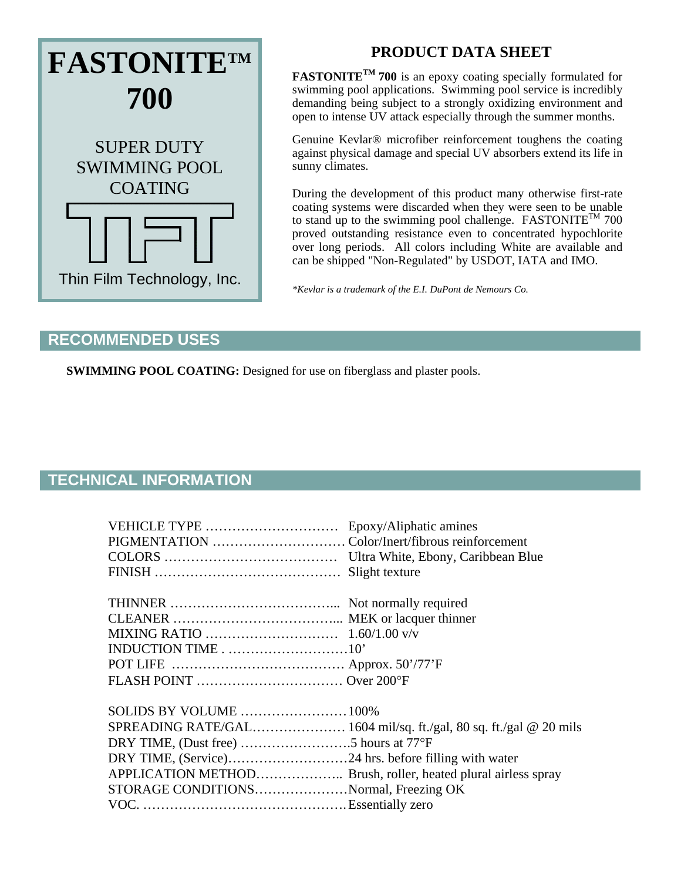

## **PRODUCT DATA SHEET**

**FASTONITETM 700** is an epoxy coating specially formulated for swimming pool applications. Swimming pool service is incredibly demanding being subject to a strongly oxidizing environment and open to intense UV attack especially through the summer months.

Genuine Kevlar® microfiber reinforcement toughens the coating against physical damage and special UV absorbers extend its life in sunny climates.

During the development of this product many otherwise first-rate coating systems were discarded when they were seen to be unable to stand up to the swimming pool challenge. FASTONITE<sup>TM</sup> 700 proved outstanding resistance even to concentrated hypochlorite over long periods. All colors including White are available and can be shipped "Non-Regulated" by USDOT, IATA and IMO.

*\*Kevlar is a trademark of the E.I. DuPont de Nemours Co.* 

## **RECOMMENDED USES**

**SWIMMING POOL COATING:** Designed for use on fiberglass and plaster pools.

## **TECHNICAL INFORMATION**

| VEHICLE TYPE                          | Epoxy/Aliphatic amines |
|---------------------------------------|------------------------|
|                                       |                        |
|                                       |                        |
|                                       |                        |
|                                       |                        |
|                                       |                        |
|                                       |                        |
|                                       |                        |
|                                       |                        |
|                                       |                        |
| SOLIDS BY VOLUME  100%                |                        |
|                                       |                        |
|                                       |                        |
|                                       |                        |
|                                       |                        |
| STORAGE CONDITIONSNormal, Freezing OK |                        |
|                                       |                        |
|                                       |                        |